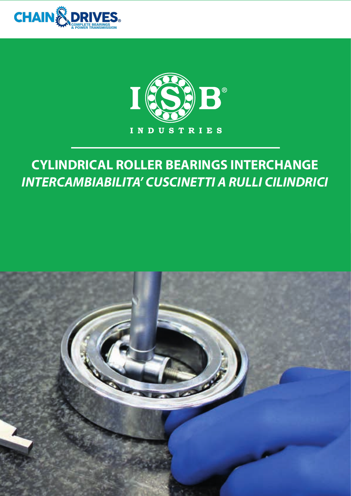



# **CYLINDRICAL ROLLER BEARINGS INTERCHANGE INTERCAMBIABILITA' CUSCINETTI A RULLI CILINDRICI**

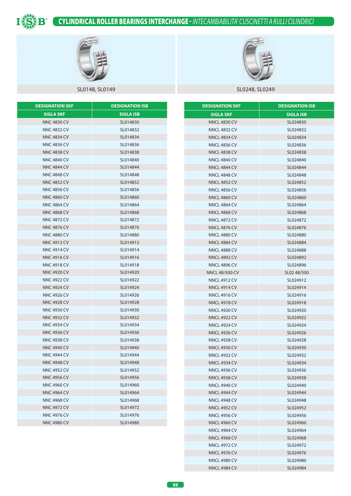

# CYLINDRICAL ROLLER BEARINGS INTERCHANGE - *INTECAMBIABILITA' CUSCINETTI A RULLI CILINDRICI*



# SL0148, SL0149 SL0248, SL0249

| <b>DESIGNATION SKF</b> | <b>DESIGNATION ISB</b> |
|------------------------|------------------------|
| <b>SIGLA SKF</b>       | <b>SIGLA ISB</b>       |
| <b>NNC 4830 CV</b>     | SL014830               |
| <b>NNC 4832 CV</b>     | SL014832               |
| <b>NNC 4834 CV</b>     | SL014834               |
| <b>NNC 4836 CV</b>     | SL014836               |
| <b>NNC 4838 CV</b>     | SL014838               |
| <b>NNC 4840 CV</b>     | SL014840               |
| <b>NNC 4844 CV</b>     | SL014844               |
| <b>NNC 4848 CV</b>     | SL014848               |
| <b>NNC 4852 CV</b>     | SL014852               |
| <b>NNC 4856 CV</b>     | SL014856               |
| <b>NNC 4860 CV</b>     | SL014860               |
| <b>NNC 4864 CV</b>     | SL014864               |
| <b>NNC 4868 CV</b>     | SL014868               |
| <b>NNC 4872 CV</b>     | SL014872               |
| <b>NNC 4876 CV</b>     | SL014876               |
| <b>NNC 4880 CV</b>     | SL014880               |
| <b>NNC 4912 CV</b>     | SL014912               |
| <b>NNC 4914 CV</b>     | SL014914               |
| <b>NNC 4916 CV</b>     | SL014916               |
| <b>NNC 4918 CV</b>     | SL014918               |
| <b>NNC 4920 CV</b>     | SL014920               |
| <b>NNC 4922 CV</b>     | SL014922               |
| <b>NNC 4924 CV</b>     | SL014924               |
| <b>NNC 4926 CV</b>     | SL014926               |
| <b>NNC 4928 CV</b>     | SL014928               |
| <b>NNC 4930 CV</b>     | SL014930               |
| NNC 4932 CV            | SL014932               |
| <b>NNC 4934 CV</b>     | SL014934               |
| <b>NNC 4936 CV</b>     | SL014936               |
| NNC 4938 CV            | SL014938               |
| <b>NNC 4940 CV</b>     | SL014940               |
| <b>NNC 4944 CV</b>     | SL014944               |
| <b>NNC 4948 CV</b>     | SL014948               |
| <b>NNC 4952 CV</b>     | SL014952               |
| <b>NNC 4956 CV</b>     | SL014956               |
| <b>NNC 4960 CV</b>     | SL014960               |
| <b>NNC 4964 CV</b>     | SL014964               |
| <b>NNC 4968 CV</b>     | SL014968               |
| <b>NNC 4972 CV</b>     | SL014972               |
| <b>NNC 4976 CV</b>     | SL014976               |
| <b>NNC 4980 CV</b>     | SL014980               |



| <b>DESIGNATION SKF</b>                     | <b>DESIGNATION ISB</b> |
|--------------------------------------------|------------------------|
| <b>SIGLA SKF</b>                           | <b>SIGLA ISB</b>       |
| <b>NNCL 4830 CV</b>                        | SL024830               |
| <b>NNCL 4832 CV</b>                        | SL024832               |
| <b>NNCL 4834 CV</b>                        | SL024834               |
| <b>NNCL 4836 CV</b>                        | SL024836               |
| <b>NNCL 4838 CV</b>                        | SL024838               |
| <b>NNCL 4840 CV</b>                        | SL024840               |
| <b>NNCL 4844 CV</b>                        | SL024844               |
| <b>NNCL 4848 CV</b>                        | SL024848               |
| <b>NNCL 4852 CV</b>                        | SL024852               |
| <b>NNCL 4856 CV</b>                        | SL024856               |
| <b>NNCL 4860 CV</b>                        | SL024860               |
| <b>NNCL 4864 CV</b>                        | SL024864               |
| <b>NNCL 4868 CV</b>                        | SL024868               |
| <b>NNCL 4872 CV</b>                        | SL024872               |
| <b>NNCL 4876 CV</b>                        | SL024876               |
| <b>NNCL 4880 CV</b>                        | SL024880               |
| <b>NNCL 4884 CV</b>                        | SL024884               |
| <b>NNCL 4888 CV</b>                        | SL024888               |
| <b>NNCL 4892 CV</b>                        | SL024892               |
| <b>NNCL 4896 CV</b>                        | SL024896               |
| <b>NNCL 48/500 CV</b>                      | SL02 48/500            |
| <b>NNCL 4912 CV</b>                        | SL024912               |
| <b>NNCL 4914 CV</b>                        | SL024914               |
| <b>NNCL 4916 CV</b>                        | SL024916               |
| <b>NNCL 4918 CV</b>                        | SL024918               |
| <b>NNCL 4920 CV</b>                        | SL024920               |
| <b>NNCL 4922 CV</b><br><b>NNCL 4924 CV</b> | SL024922<br>SL024924   |
| <b>NNCL 4926 CV</b>                        | SL024926               |
| <b>NNCL 4928 CV</b>                        | SL024928               |
| <b>NNCL 4930 CV</b>                        | SL024930               |
| <b>NNCL 4932 CV</b>                        | SL024932               |
| <b>NNCL 4934 CV</b>                        | SL024934               |
| <b>NNCL 4936 CV</b>                        | SL024936               |
| <b>NNCL 4938 CV</b>                        | SL024938               |
| <b>NNCL 4940 CV</b>                        | SL024940               |
| <b>NNCL 4944 CV</b>                        | SL024944               |
| <b>NNCL 4948 CV</b>                        | SL024948               |
| <b>NNCL 4952 CV</b>                        | SL024952               |
| <b>NNCL 4956 CV</b>                        | SL024956               |
| <b>NNCL 4960 CV</b>                        | SL024960               |
| <b>NNCL 4964 CV</b>                        | SL024964               |
| <b>NNCL 4968 CV</b>                        | SL024968               |
| <b>NNCL 4972 CV</b>                        | SL024972               |
| <b>NNCL 4976 CV</b>                        | SL024976               |
| <b>NNCL 4980 CV</b>                        | SL024980               |
| <b>NNCL 4984 CV</b>                        | SL024984               |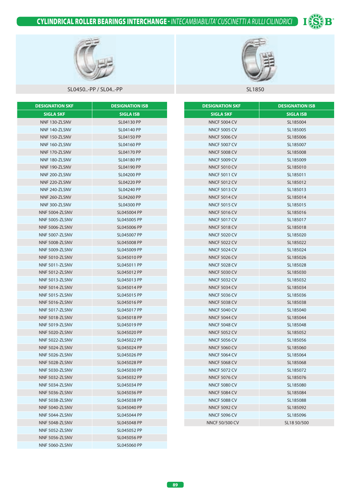# CYLINDRICAL ROLLER BEARINGS INTERCHANGE - *INTECAMBIABILITA' CUSCINETTI A RULLI CILINDRICI*





## SL0450..-PP / SL04..-PP SL04..-PP SL1850

| <b>DESIGNATION SKF</b> | <b>DESIGNATION ISB</b> |
|------------------------|------------------------|
| SIGLA SKF              | <b>SIGLA ISB</b>       |
| NNF 130-ZLSNV          | <b>SL04130 PP</b>      |
| NNF 140-ZLSNV          | SL04140 PP             |
| NNF 150-ZLSNV          | <b>SL04150 PP</b>      |
| NNF 160-ZLSNV          | SL04160 PP             |
| NNF 170-ZLSNV          | <b>SL04170 PP</b>      |
| NNF 180-ZLSNV          | <b>SL04180 PP</b>      |
| NNF 190-ZLSNV          | <b>SL04190 PP</b>      |
| NNF 200-ZLSNV          | <b>SL04200 PP</b>      |
| NNF 220-ZLSNV          | <b>SL04220 PP</b>      |
| NNF 240-ZLSNV          | <b>SL04240 PP</b>      |
| NNF 260-ZLSNV          | <b>SL04260 PP</b>      |
| NNF 300-ZLSNV          | <b>SL04300 PP</b>      |
| NNF 5004-ZLSNV         | SL045004 PP            |
| NNF 5005-ZLSNV         | SL045005 PP            |
| NNF 5006-ZLSNV         | SL045006 PP            |
| NNF 5007-ZLSNV         | SL045007 PP            |
| NNF 5008-ZLSNV         | SL045008 PP            |
| NNF 5009-ZLSNV         | SL045009 PP            |
| NNF 5010-ZLSNV         | SL045010 PP            |
| NNF 5011-ZLSNV         | SL045011 PP            |
| NNF 5012-ZLSNV         | SL045012 PP            |
| NNF 5013-ZLSNV         | SL045013 PP            |
| NNF 5014-ZLSNV         | SL045014 PP            |
| NNF 5015-ZLSNV         | SL045015 PP            |
| NNF 5016-ZLSNV         | SL045016 PP            |
| NNF 5017-ZLSNV         | SL045017 PP            |
| NNF 5018-ZLSNV         | SL045018 PP            |
| NNF 5019-ZLSNV         | SL045019 PP            |
| NNF 5020-ZLSNV         | SL045020 PP            |
| NNF 5022-ZLSNV         | SL045022 PP            |
| NNF 5024-ZLSNV         | SL045024 PP            |
| NNF 5026-ZLSNV         | SL045026 PP            |
| NNF 5028-ZLSNV         | SL045028 PP            |
| NNF 5030-ZLSNV         | SL045030 PP            |
| NNF 5032-ZLSNV         | SL045032 PP            |
| NNF 5034-ZLSNV         | SL045034 PP            |
| NNF 5036-ZLSNV         | SL045036 PP            |
| NNF 5038-ZLSNV         | SL045038 PP            |
| NNF 5040-ZLSNV         | SL045040 PP            |
| NNF 5044-ZLSNV         | SL045044 PP            |
| NNF 5048-ZLSNV         | SL045048 PP            |
| NNF 5052-ZLSNV         | SL045052 PP            |
| NNF 5056-ZLSNV         | SL045056 PP            |
| NNF 5060-ZLSNV         | SL045060 PP            |



| <b>DESIGNATION SKF</b> | <b>DESIGNATION ISB</b> |
|------------------------|------------------------|
| <b>SIGLA SKF</b>       | <b>SIGLA ISB</b>       |
| <b>NNCF 5004 CV</b>    | SL185004               |
| <b>NNCF 5005 CV</b>    | SL185005               |
| <b>NNCF 5006 CV</b>    | SL185006               |
| <b>NNCF 5007 CV</b>    | SL185007               |
| <b>NNCF 5008 CV</b>    | SL185008               |
| <b>NNCF 5009 CV</b>    | SL185009               |
| <b>NNCF 5010 CV</b>    | SL185010               |
| <b>NNCF 5011 CV</b>    | SL185011               |
| <b>NNCF 5012 CV</b>    | SL185012               |
| <b>NNCF 5013 CV</b>    | SL185013               |
| <b>NNCF 5014 CV</b>    | SL185014               |
| <b>NNCF 5015 CV</b>    | SL185015               |
| <b>NNCF 5016 CV</b>    | SL185016               |
| <b>NNCF 5017 CV</b>    | SL185017               |
| <b>NNCF 5018 CV</b>    | SL185018               |
| <b>NNCF 5020 CV</b>    | SL185020               |
| <b>NNCF 5022 CV</b>    | SL185022               |
| <b>NNCF 5024 CV</b>    | SL185024               |
| <b>NNCF 5026 CV</b>    | SL185026               |
| <b>NNCF 5028 CV</b>    | SL185028               |
| <b>NNCF 5030 CV</b>    | SL185030               |
| <b>NNCF 5032 CV</b>    | SL185032               |
| <b>NNCF 5034 CV</b>    | SL185034               |
| <b>NNCF 5036 CV</b>    | SL185036               |
| <b>NNCF 5038 CV</b>    | SL185038               |
| <b>NNCF 5040 CV</b>    | SL185040               |
| <b>NNCF 5044 CV</b>    | SL185044               |
| <b>NNCF 5048 CV</b>    | SL185048               |
| <b>NNCF 5052 CV</b>    | SL185052               |
| <b>NNCF 5056 CV</b>    | SL185056               |
| <b>NNCF 5060 CV</b>    | SL185060               |
| <b>NNCF 5064 CV</b>    | SL185064               |
| <b>NNCF 5068 CV</b>    | SL185068               |
| <b>NNCF 5072 CV</b>    | SL185072               |
| <b>NNCF 5076 CV</b>    | SL185076               |
| <b>NNCF 5080 CV</b>    | SL185080               |
| <b>NNCF 5084 CV</b>    | SL185084               |
| <b>NNCF 5088 CV</b>    | SL185088               |
| <b>NNCF 5092 CV</b>    | SL185092               |
| <b>NNCF 5096 CV</b>    | SL185096               |
| NNCF 50/500 CV         | SL18 50/500            |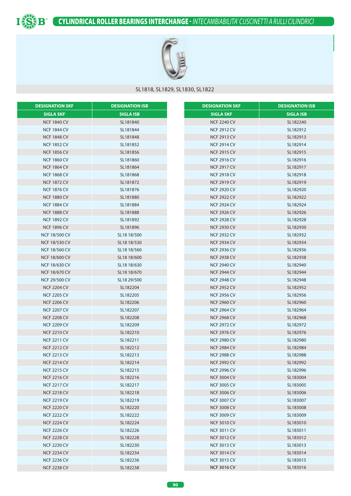



## SL1818, SL1829, SL1830, SL1822

| <b>DESIGNATION SKF</b> | <b>DESIGNATION ISB</b> | <b>DESIGNATION SKF</b> | <b>DESIGNATION ISB</b> |
|------------------------|------------------------|------------------------|------------------------|
| <b>SIGLA SKF</b>       | <b>SIGLA ISB</b>       | <b>SIGLA SKF</b>       | <b>SIGLA ISB</b>       |
| <b>NCF 1840 CV</b>     | SL181840               | <b>NCF 2240 CV</b>     | SL182240               |
| <b>NCF 1844 CV</b>     | SL181844               | <b>NCF 2912 CV</b>     | SL182912               |
| <b>NCF 1848 CV</b>     | SL181848               | <b>NCF 2913 CV</b>     | SL182913               |
| <b>NCF 1852 CV</b>     | SL181852               | <b>NCF 2914 CV</b>     | SL182914               |
| <b>NCF 1856 CV</b>     | SL181856               | <b>NCF 2915 CV</b>     | SL182915               |
| <b>NCF 1860 CV</b>     | SL181860               | <b>NCF 2916 CV</b>     | SL182916               |
| <b>NCF 1864 CV</b>     | SL181864               | <b>NCF 2917 CV</b>     | SL182917               |
| <b>NCF 1868 CV</b>     | SL181868               | <b>NCF 2918 CV</b>     | SL182918               |
| <b>NCF 1872 CV</b>     | SL181872               | <b>NCF 2919 CV</b>     | SL182919               |
| <b>NCF 1876 CV</b>     | SL181876               | <b>NCF 2920 CV</b>     | SL182920               |
| <b>NCF 1880 CV</b>     | SL181880               | <b>NCF 2922 CV</b>     | SL182922               |
| <b>NCF 1884 CV</b>     | SL181884               | <b>NCF 2924 CV</b>     | SL182924               |
| <b>NCF 1888 CV</b>     | SL181888               | <b>NCF 2926 CV</b>     | SL182926               |
| <b>NCF 1892 CV</b>     | SL181892               | <b>NCF 2928 CV</b>     | SL182928               |
| <b>NCF 1896 CV</b>     | SL181896               | <b>NCF 2930 CV</b>     | SL182930               |
| <b>NCF 18/500 CV</b>   | SL18 18/500            | <b>NCF 2932 CV</b>     | SL182932               |
| <b>NCF 18/530 CV</b>   | SL18 18/530            | <b>NCF 2934 CV</b>     | SL182934               |
| <b>NCF 18/560 CV</b>   | SL18 18/560            | <b>NCF 2936 CV</b>     | SL182936               |
| <b>NCF 18/600 CV</b>   | SL18 18/600            | <b>NCF 2938 CV</b>     | SL182938               |
| <b>NCF 18/630 CV</b>   | SL18 18/630            | <b>NCF 2940 CV</b>     | SL182940               |
| <b>NCF 18/670 CV</b>   | SL18 18/670            | <b>NCF 2944 CV</b>     | SL182944               |
| NCF 29/500 CV          | SL18 29/500            | <b>NCF 2948 CV</b>     | SL182948               |
| <b>NCF 2204 CV</b>     | SL182204               | <b>NCF 2952 CV</b>     | SL182952               |
| <b>NCF 2205 CV</b>     | SL182205               | <b>NCF 2956 CV</b>     | SL182956               |
| <b>NCF 2206 CV</b>     | SL182206               | <b>NCF 2960 CV</b>     | SL182960               |
| <b>NCF 2207 CV</b>     | SL182207               | <b>NCF 2964 CV</b>     | SL182964               |
| <b>NCF 2208 CV</b>     | SL182208               | <b>NCF 2968 CV</b>     | SL182968               |
| <b>NCF 2209 CV</b>     | SL182209               | <b>NCF 2972 CV</b>     | SL182972               |
| <b>NCF 2210 CV</b>     | SL182210               | <b>NCF 2976 CV</b>     | SL182976               |
| <b>NCF 2211 CV</b>     | SL182211               | <b>NCF 2980 CV</b>     | SL182980               |
| <b>NCF 2212 CV</b>     | SL182212               | <b>NCF 2984 CV</b>     | SL182984               |
| <b>NCF 2213 CV</b>     | SL182213               | <b>NCF 2988 CV</b>     | SL182988               |
| <b>NCF 2214 CV</b>     | SL182214               | <b>NCF 2992 CV</b>     | SL182992               |
| <b>NCF 2215 CV</b>     | SL182215               | <b>NCF 2996 CV</b>     | SL182996               |
| <b>NCF 2216 CV</b>     | SL182216               | <b>NCF 3004 CV</b>     | SL183004               |
| <b>NCF 2217 CV</b>     | SL182217               | <b>NCF 3005 CV</b>     | SL183005               |
| <b>NCF 2218 CV</b>     | SL182218               | <b>NCF 3006 CV</b>     | SL183006               |
| <b>NCF 2219 CV</b>     | SL182219               | <b>NCF 3007 CV</b>     | SL183007               |
| <b>NCF 2220 CV</b>     | SL182220               | <b>NCF 3008 CV</b>     | SL183008               |
| <b>NCF 2222 CV</b>     | SL182222               | <b>NCF 3009 CV</b>     | SL183009               |
| <b>NCF 2224 CV</b>     | SL182224               | <b>NCF 3010 CV</b>     | SL183010               |
| <b>NCF 2226 CV</b>     | SL182226               | <b>NCF 3011 CV</b>     | SL183011               |
| <b>NCF 2228 CV</b>     | SL182228               | <b>NCF 3012 CV</b>     | SL183012               |
| <b>NCF 2230 CV</b>     | SL182230               | <b>NCF 3013 CV</b>     | SL183013               |
| <b>NCF 2234 CV</b>     | SL182234               | <b>NCF 3014 CV</b>     | SL183014               |
| <b>NCF 2236 CV</b>     | SL182236               | <b>NCF 3015 CV</b>     | SL183015               |
| <b>NCF 2238 CV</b>     | SL182238               | <b>NCF 3016 CV</b>     | SL183016               |